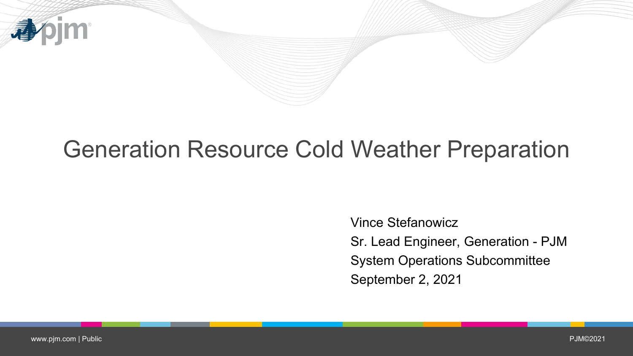

# Generation Resource Cold Weather Preparation

Vince Stefanowicz Sr. Lead Engineer, Generation - PJM System Operations Subcommittee September 2, 2021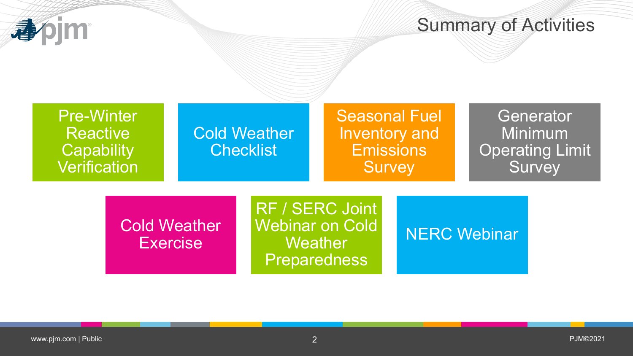

### Summary of Activities

| <b>Pre-Winter</b><br><b>Reactive</b><br><b>Capability</b><br><b>Verification</b> |                                        | <b>Cold Weather</b><br><b>Checklist</b> |                                                                             | <b>Seasonal Fuel</b><br>Inventory and<br><b>Emissions</b><br><b>Survey</b> |              | Generator<br>Minimum<br><b>Operating Limit</b><br>Survey |  |
|----------------------------------------------------------------------------------|----------------------------------------|-----------------------------------------|-----------------------------------------------------------------------------|----------------------------------------------------------------------------|--------------|----------------------------------------------------------|--|
|                                                                                  | <b>Cold Weather</b><br><b>Exercise</b> |                                         | RF / SERC Joint<br><b>Webinar on Cold</b><br>Weather<br><b>Preparedness</b> |                                                                            | NERC Webinar |                                                          |  |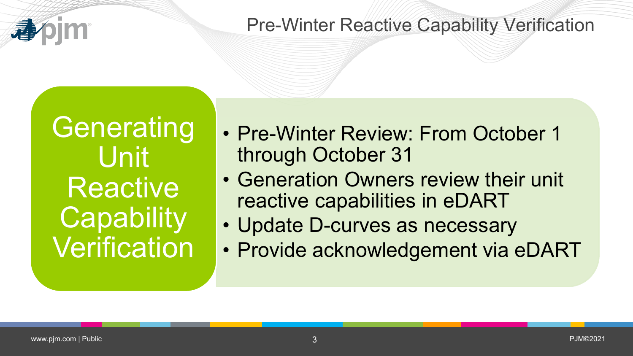#### Pre-Winter Reactive Capability Verification

**Generating** Unit **Reactive Capability Verification** 

- Pre-Winter Review: From October 1 through October 31
- Generation Owners review their unit reactive capabilities in eDART
- Update D-curves as necessary
- Provide acknowledgement via eDART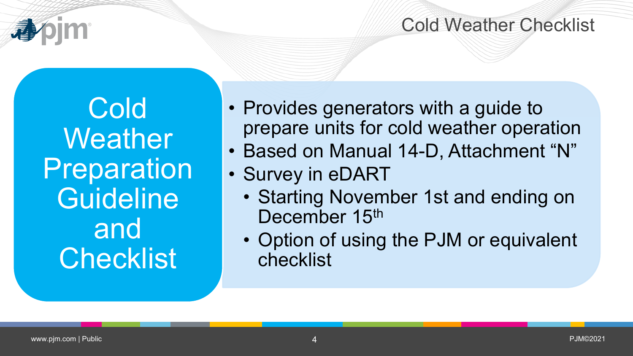

#### Cold Weather Checklist

Cold **Weather Preparation Guideline** and **Checklist** 

- Provides generators with a guide to prepare units for cold weather operation
- Based on Manual 14-D, Attachment "N"
- Survey in eDART
	- Starting November 1st and ending on December 15<sup>th</sup>
	- Option of using the PJM or equivalent checklist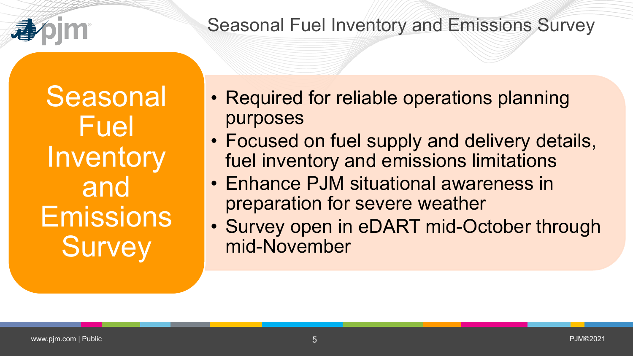

#### Seasonal Fuel Inventory and Emissions Survey

**Seasonal** Fuel Inventory and Emissions **Survey** 

- Required for reliable operations planning purposes
- Focused on fuel supply and delivery details, fuel inventory and emissions limitations
- Enhance PJM situational awareness in preparation for severe weather
- Survey open in eDART mid-October through mid-November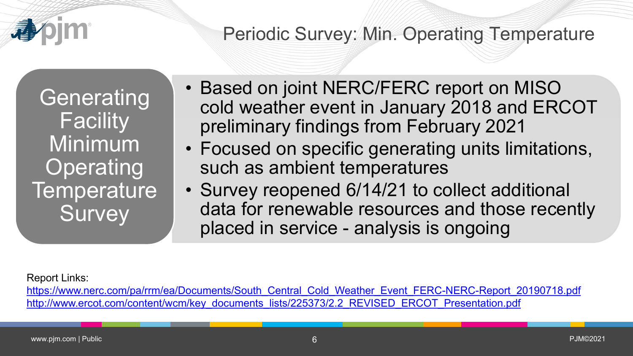

## Periodic Survey: Min. Operating Temperature

**Generating Facility** Minimum **Operating Temperature Survey** 

- Based on joint NERC/FERC report on MISO cold weather event in January 2018 and ERCOT preliminary findings from February 2021
- Focused on specific generating units limitations, such as ambient temperatures
- Survey reopened 6/14/21 to collect additional data for renewable resources and those recently placed in service - analysis is ongoing

#### Report Links:

[https://www.nerc.com/pa/rrm/ea/Documents/South\\_Central\\_Cold\\_Weather\\_Event\\_FERC-NERC-Report\\_20190718.pdf](https://www.nerc.com/pa/rrm/ea/Documents/South_Central_Cold_Weather_Event_FERC-NERC-Report_20190718.pdf) [http://www.ercot.com/content/wcm/key\\_documents\\_lists/225373/2.2\\_REVISED\\_ERCOT\\_Presentation.pdf](http://www.ercot.com/content/wcm/key_documents_lists/225373/2.2_REVISED_ERCOT_Presentation.pdf)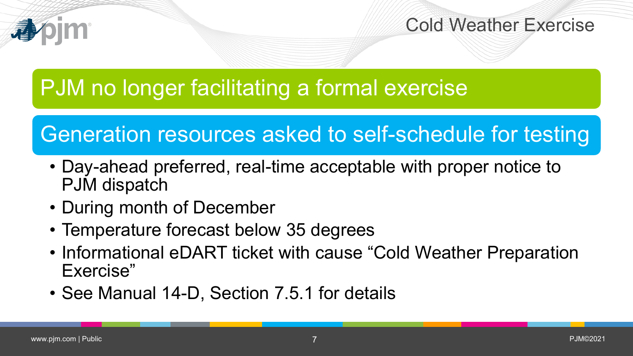

Cold Weather Exercise

# PJM no longer facilitating a formal exercise

# Generation resources asked to self-schedule for testing

- Day-ahead preferred, real-time acceptable with proper notice to PJM dispatch
- During month of December
- Temperature forecast below 35 degrees
- Informational eDART ticket with cause "Cold Weather Preparation Exercise"
- See Manual 14-D, Section 7.5.1 for details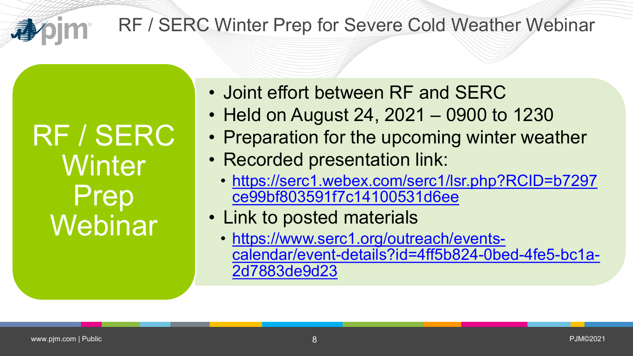RF / SERC Winter Prep for Severe Cold Weather Webinar

RF / SERC **Winter** Prep Webinar

- Joint effort between RF and SERC
- Held on August 24, 2021 0900 to 1230
- Preparation for the upcoming winter weather
- Recorded presentation link:
	- [https://serc1.webex.com/serc1/lsr.php?RCID=b7297](https://serc1.webex.com/serc1/lsr.php?RCID=b7297ce99bf803591f7c14100531d6ee) ce99bf803591f7c14100531d6ee
- Link to posted materials
	- https://www.serc1.org/outreach/events[calendar/event-details?id=4ff5b824-0bed-4fe5-bc1a-](https://www.serc1.org/outreach/events-calendar/event-details?id=4ff5b824-0bed-4fe5-bc1a-2d7883de9d23)2d7883de9d23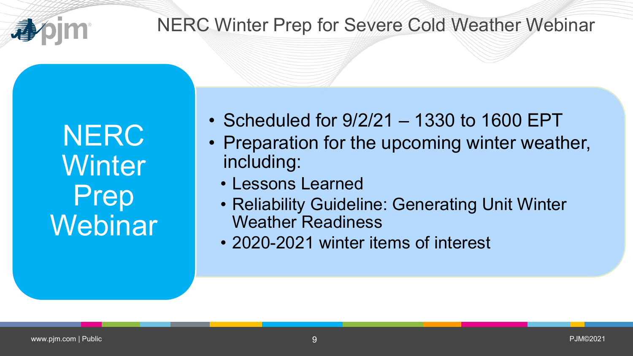

#### NERC Winter Prep for Severe Cold Weather Webinar

**NERC Winter** Prep **Webinar** 

- Scheduled for 9/2/21 1330 to 1600 EPT
- Preparation for the upcoming winter weather, including:
	- Lessons Learned
	- Reliability Guideline: Generating Unit Winter Weather Readiness
	- 2020-2021 winter items of interest